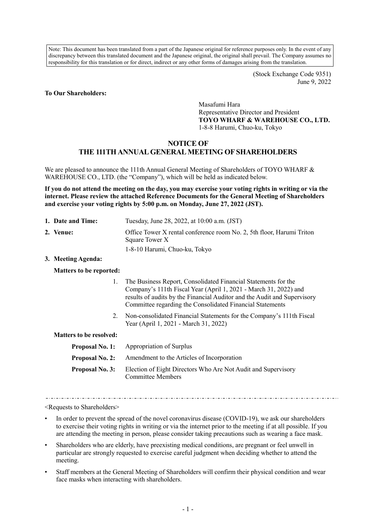Note: This document has been translated from a part of the Japanese original for reference purposes only. In the event of any discrepancy between this translated document and the Japanese original, the original shall prevail. The Company assumes no responsibility for this translation or for direct, indirect or any other forms of damages arising from the translation.

> (Stock Exchange Code 9351) June 9, 2022

#### **To Our Shareholders:**

Masafumi Hara Representative Director and President **TOYO WHARF & WAREHOUSE CO., LTD.**  1-8-8 Harumi, Chuo-ku, Tokyo

#### **NOTICE OF**

# **THE 111TH ANNUAL GENERAL MEETING OF SHAREHOLDERS**

We are pleased to announce the 111th Annual General Meeting of Shareholders of TOYO WHARF & WAREHOUSE CO., LTD. (the "Company"), which will be held as indicated below.

**If you do not attend the meeting on the day, you may exercise your voting rights in writing or via the internet. Please review the attached Reference Documents for the General Meeting of Shareholders and exercise your voting rights by 5:00 p.m. on Monday, June 27, 2022 (JST).** 

**1. Date and Time:** Tuesday, June 28, 2022, at 10:00 a.m. (JST) **2. Venue: Office Tower X rental conference room No. 2, 5th floor, Harumi Triton** Square Tower X 1-8-10 Harumi, Chuo-ku, Tokyo

#### **3. Meeting Agenda:**

#### **Matters to be reported:**

- 1. The Business Report, Consolidated Financial Statements for the Company's 111th Fiscal Year (April 1, 2021 - March 31, 2022) and results of audits by the Financial Auditor and the Audit and Supervisory Committee regarding the Consolidated Financial Statements
- 2. Non-consolidated Financial Statements for the Company's 111th Fiscal Year (April 1, 2021 - March 31, 2022)

## **Matters to be resolved:**

|                 | <b>Proposal No. 1:</b> Appropriation of Surplus                                           |
|-----------------|-------------------------------------------------------------------------------------------|
|                 | <b>Proposal No. 2:</b> Amendment to the Articles of Incorporation                         |
| Proposal No. 3: | Election of Eight Directors Who Are Not Audit and Supervisory<br><b>Committee Members</b> |

<Requests to Shareholders>

- In order to prevent the spread of the novel coronavirus disease (COVID-19), we ask our shareholders to exercise their voting rights in writing or via the internet prior to the meeting if at all possible. If you are attending the meeting in person, please consider taking precautions such as wearing a face mask.
- Shareholders who are elderly, have preexisting medical conditions, are pregnant or feel unwell in particular are strongly requested to exercise careful judgment when deciding whether to attend the meeting.
- Staff members at the General Meeting of Shareholders will confirm their physical condition and wear face masks when interacting with shareholders.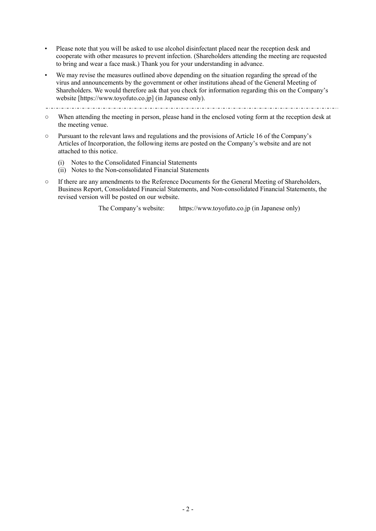- Please note that you will be asked to use alcohol disinfectant placed near the reception desk and cooperate with other measures to prevent infection. (Shareholders attending the meeting are requested to bring and wear a face mask.) Thank you for your understanding in advance.
- We may revise the measures outlined above depending on the situation regarding the spread of the virus and announcements by the government or other institutions ahead of the General Meeting of Shareholders. We would therefore ask that you check for information regarding this on the Company's website [https://www.toyofuto.co.jp] (in Japanese only).
- $\pm 1 \pm 1 \pm 1$
- When attending the meeting in person, please hand in the enclosed voting form at the reception desk at the meeting venue.
- Pursuant to the relevant laws and regulations and the provisions of Article 16 of the Company's Articles of Incorporation, the following items are posted on the Company's website and are not attached to this notice.
	- (i) Notes to the Consolidated Financial Statements
	- (ii) Notes to the Non-consolidated Financial Statements
- If there are any amendments to the Reference Documents for the General Meeting of Shareholders, Business Report, Consolidated Financial Statements, and Non-consolidated Financial Statements, the revised version will be posted on our website.

The Company's website: https://www.toyofuto.co.jp (in Japanese only)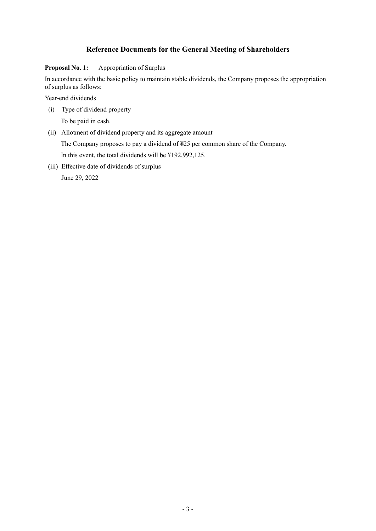# **Reference Documents for the General Meeting of Shareholders**

## **Proposal No. 1:** Appropriation of Surplus

In accordance with the basic policy to maintain stable dividends, the Company proposes the appropriation of surplus as follows:

Year-end dividends

(i) Type of dividend property

To be paid in cash.

(ii) Allotment of dividend property and its aggregate amount

The Company proposes to pay a dividend of ¥25 per common share of the Company.

In this event, the total dividends will be ¥192,992,125.

(iii) Effective date of dividends of surplus

June 29, 2022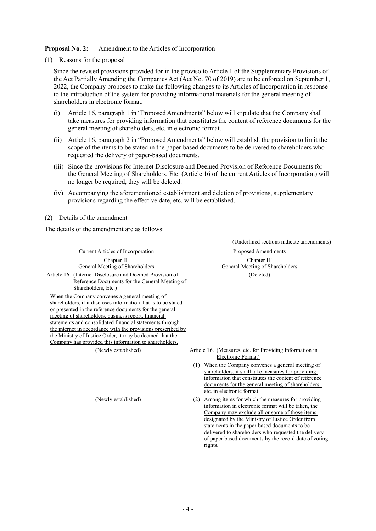**Proposal No. 2:** Amendment to the Articles of Incorporation

(1) Reasons for the proposal

Since the revised provisions provided for in the proviso to Article 1 of the Supplementary Provisions of the Act Partially Amending the Companies Act (Act No. 70 of 2019) are to be enforced on September 1, 2022, the Company proposes to make the following changes to its Articles of Incorporation in response to the introduction of the system for providing informational materials for the general meeting of shareholders in electronic format.

- (i) Article 16, paragraph 1 in "Proposed Amendments" below will stipulate that the Company shall take measures for providing information that constitutes the content of reference documents for the general meeting of shareholders, etc. in electronic format.
- (ii) Article 16, paragraph 2 in "Proposed Amendments" below will establish the provision to limit the scope of the items to be stated in the paper-based documents to be delivered to shareholders who requested the delivery of paper-based documents.
- (iii) Since the provisions for Internet Disclosure and Deemed Provision of Reference Documents for the General Meeting of Shareholders, Etc. (Article 16 of the current Articles of Incorporation) will no longer be required, they will be deleted.

(Underlined sections indicate amendments)

- (iv) Accompanying the aforementioned establishment and deletion of provisions, supplementary provisions regarding the effective date, etc. will be established.
- (2) Details of the amendment

The details of the amendment are as follows:

| Current Articles of Incorporation                              | <b>Proposed Amendments</b>                                                                         |
|----------------------------------------------------------------|----------------------------------------------------------------------------------------------------|
| Chapter III                                                    | Chapter III                                                                                        |
| General Meeting of Shareholders                                | General Meeting of Shareholders                                                                    |
| Article 16. (Internet Disclosure and Deemed Provision of       | (Deleted)                                                                                          |
| Reference Documents for the General Meeting of                 |                                                                                                    |
| Shareholders, Etc.)                                            |                                                                                                    |
| When the Company convenes a general meeting of                 |                                                                                                    |
| shareholders, if it discloses information that is to be stated |                                                                                                    |
| or presented in the reference documents for the general        |                                                                                                    |
| meeting of shareholders, business report, financial            |                                                                                                    |
| statements and consolidated financial statements through       |                                                                                                    |
| the internet in accordance with the provisions prescribed by   |                                                                                                    |
| the Ministry of Justice Order, it may be deemed that the       |                                                                                                    |
| Company has provided this information to shareholders.         |                                                                                                    |
| (Newly established)                                            | Article 16. (Measures, etc. for Providing Information in                                           |
|                                                                | Electronic Format)                                                                                 |
|                                                                | (1) When the Company convenes a general meeting of                                                 |
|                                                                | shareholders, it shall take measures for providing                                                 |
|                                                                | information that constitutes the content of reference                                              |
|                                                                | documents for the general meeting of shareholders,<br>etc. in electronic format.                   |
|                                                                |                                                                                                    |
| (Newly established)                                            | Among items for which the measures for providing<br>(2)                                            |
|                                                                | information in electronic format will be taken, the                                                |
|                                                                | Company may exclude all or some of those items<br>designated by the Ministry of Justice Order from |
|                                                                | statements in the paper-based documents to be                                                      |
|                                                                | delivered to shareholders who requested the delivery                                               |
|                                                                | of paper-based documents by the record date of voting                                              |
|                                                                | rights.                                                                                            |
|                                                                |                                                                                                    |
|                                                                |                                                                                                    |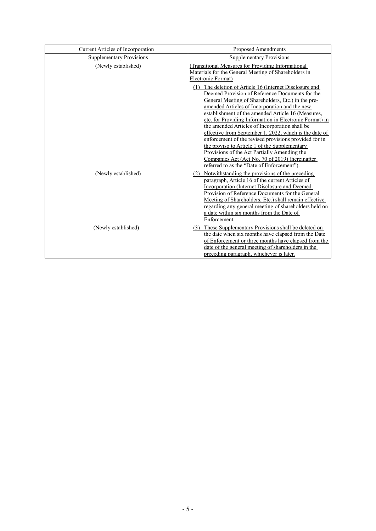| Current Articles of Incorporation | Proposed Amendments                                                                                                                                                                                                                                                                                                                                                                                                                                                                                                                                                                                                                                                                                       |
|-----------------------------------|-----------------------------------------------------------------------------------------------------------------------------------------------------------------------------------------------------------------------------------------------------------------------------------------------------------------------------------------------------------------------------------------------------------------------------------------------------------------------------------------------------------------------------------------------------------------------------------------------------------------------------------------------------------------------------------------------------------|
| <b>Supplementary Provisions</b>   | <b>Supplementary Provisions</b>                                                                                                                                                                                                                                                                                                                                                                                                                                                                                                                                                                                                                                                                           |
| (Newly established)               | (Transitional Measures for Providing Informational<br>Materials for the General Meeting of Shareholders in<br>Electronic Format)                                                                                                                                                                                                                                                                                                                                                                                                                                                                                                                                                                          |
|                                   | (1) The deletion of Article 16 (Internet Disclosure and<br>Deemed Provision of Reference Documents for the<br>General Meeting of Shareholders, Etc.) in the pre-<br>amended Articles of Incorporation and the new<br>establishment of the amended Article 16 (Measures,<br>etc. for Providing Information in Electronic Format) in<br>the amended Articles of Incorporation shall be<br>effective from September 1, 2022, which is the date of<br>enforcement of the revised provisions provided for in<br>the proviso to Article 1 of the Supplementary<br>Provisions of the Act Partially Amending the<br>Companies Act (Act No. 70 of 2019) (hereinafter<br>referred to as the "Date of Enforcement"). |
| (Newly established)               | Notwithstanding the provisions of the preceding<br>(2)<br>paragraph, Article 16 of the current Articles of<br>Incorporation (Internet Disclosure and Deemed<br>Provision of Reference Documents for the General<br>Meeting of Shareholders, Etc.) shall remain effective<br>regarding any general meeting of shareholders held on<br>a date within six months from the Date of<br>Enforcement.                                                                                                                                                                                                                                                                                                            |
| (Newly established)               | (3) These Supplementary Provisions shall be deleted on<br>the date when six months have elapsed from the Date<br>of Enforcement or three months have elapsed from the<br>date of the general meeting of shareholders in the<br>preceding paragraph, whichever is later.                                                                                                                                                                                                                                                                                                                                                                                                                                   |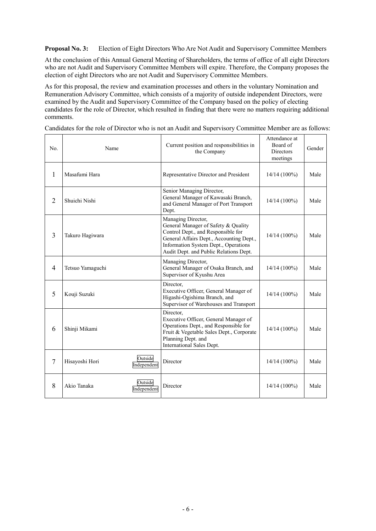**Proposal No. 3:** Election of Eight Directors Who Are Not Audit and Supervisory Committee Members

At the conclusion of this Annual General Meeting of Shareholders, the terms of office of all eight Directors who are not Audit and Supervisory Committee Members will expire. Therefore, the Company proposes the election of eight Directors who are not Audit and Supervisory Committee Members.

As for this proposal, the review and examination processes and others in the voluntary Nomination and Remuneration Advisory Committee, which consists of a majority of outside independent Directors, were examined by the Audit and Supervisory Committee of the Company based on the policy of electing candidates for the role of Director, which resulted in finding that there were no matters requiring additional comments.

| No.            | Name                                     | Current position and responsibilities in<br>the Company                                                                                                                                                                       | Attendance at<br>Board of<br><b>Directors</b><br>meetings | Gender |
|----------------|------------------------------------------|-------------------------------------------------------------------------------------------------------------------------------------------------------------------------------------------------------------------------------|-----------------------------------------------------------|--------|
| 1              | Masafumi Hara                            | Representative Director and President                                                                                                                                                                                         | 14/14 (100%)                                              | Male   |
| $\overline{2}$ | Shuichi Nishi                            | Senior Managing Director,<br>General Manager of Kawasaki Branch,<br>and General Manager of Port Transport<br>Dept.                                                                                                            | $14/14(100\%)$                                            | Male   |
| 3              | Takuro Hagiwara                          | Managing Director,<br>General Manager of Safety & Quality<br>Control Dept., and Responsible for<br>General Affairs Dept., Accounting Dept.,<br>Information System Dept., Operations<br>Audit Dept. and Public Relations Dept. | $14/14(100\%)$                                            | Male   |
| $\overline{4}$ | Tetsuo Yamaguchi                         | Managing Director,<br>General Manager of Osaka Branch, and<br>Supervisor of Kyushu Area                                                                                                                                       | $14/14(100\%)$                                            | Male   |
| 5              | Kouji Suzuki                             | Director,<br>Executive Officer, General Manager of<br>Higashi-Ogishima Branch, and<br>Supervisor of Warehouses and Transport                                                                                                  | $14/14(100\%)$                                            | Male   |
| 6              | Shinji Mikami                            | Director,<br>Executive Officer, General Manager of<br>Operations Dept., and Responsible for<br>Fruit & Vegetable Sales Dept., Corporate<br>Planning Dept. and<br>International Sales Dept.                                    | $14/14(100\%)$                                            | Male   |
| $\overline{7}$ | Outside<br>Hisayoshi Hori<br>Independent | Director                                                                                                                                                                                                                      | $14/14(100\%)$                                            | Male   |
| 8              | Outside<br>Akio Tanaka<br>Independent    | Director                                                                                                                                                                                                                      | $14/14(100\%)$                                            | Male   |

Candidates for the role of Director who is not an Audit and Supervisory Committee Member are as follows:

 $\mathbf{r}$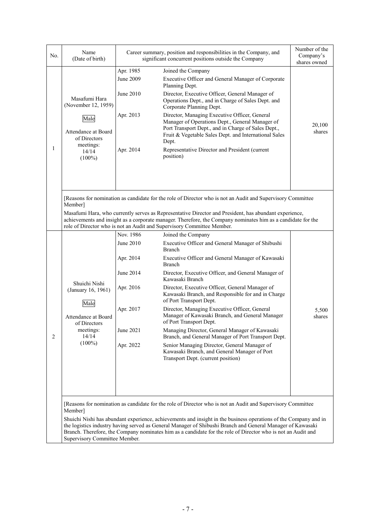| No. | Name<br>(Date of birth)                                                            |           | Career summary, position and responsibilities in the Company, and<br>significant concurrent positions outside the Company                                                                                                                                                                                                                      | Number of the<br>Company's<br>shares owned |
|-----|------------------------------------------------------------------------------------|-----------|------------------------------------------------------------------------------------------------------------------------------------------------------------------------------------------------------------------------------------------------------------------------------------------------------------------------------------------------|--------------------------------------------|
|     |                                                                                    | Apr. 1985 | Joined the Company                                                                                                                                                                                                                                                                                                                             |                                            |
|     |                                                                                    | June 2009 | Executive Officer and General Manager of Corporate<br>Planning Dept.                                                                                                                                                                                                                                                                           |                                            |
|     | Masafumi Hara<br>(November 12, 1959)                                               | June 2010 | Director, Executive Officer, General Manager of<br>Operations Dept., and in Charge of Sales Dept. and<br>Corporate Planning Dept.                                                                                                                                                                                                              |                                            |
|     | Male<br>Attendance at Board<br>of Directors                                        | Apr. 2013 | Director, Managing Executive Officer, General<br>Manager of Operations Dept., General Manager of<br>Port Transport Dept., and in Charge of Sales Dept.,<br>Fruit & Vegetable Sales Dept. and International Sales<br>Dept.                                                                                                                      | 20,100<br>shares                           |
| 1   | meetings:<br>14/14<br>$(100\%)$                                                    | Apr. 2014 | Representative Director and President (current<br>position)                                                                                                                                                                                                                                                                                    |                                            |
|     |                                                                                    |           |                                                                                                                                                                                                                                                                                                                                                |                                            |
|     | Member]                                                                            |           | [Reasons for nomination as candidate for the role of Director who is not an Audit and Supervisory Committee                                                                                                                                                                                                                                    |                                            |
|     |                                                                                    |           | Masafumi Hara, who currently serves as Representative Director and President, has abundant experience,<br>achievements and insight as a corporate manager. Therefore, the Company nominates him as a candidate for the<br>role of Director who is not an Audit and Supervisory Committee Member.                                               |                                            |
|     |                                                                                    | Nov. 1986 | Joined the Company                                                                                                                                                                                                                                                                                                                             |                                            |
|     |                                                                                    | June 2010 | Executive Officer and General Manager of Shibushi<br><b>Branch</b>                                                                                                                                                                                                                                                                             |                                            |
|     | Shuichi Nishi<br>(January 16, 1961)<br>Male<br>Attendance at Board<br>of Directors | Apr. 2014 | Executive Officer and General Manager of Kawasaki<br><b>Branch</b>                                                                                                                                                                                                                                                                             |                                            |
|     |                                                                                    | June 2014 | Director, Executive Officer, and General Manager of<br>Kawasaki Branch                                                                                                                                                                                                                                                                         |                                            |
|     |                                                                                    | Apr. 2016 | Director, Executive Officer, General Manager of<br>Kawasaki Branch, and Responsible for and in Charge<br>of Port Transport Dept.                                                                                                                                                                                                               |                                            |
|     |                                                                                    | Apr. 2017 | Director, Managing Executive Officer, General<br>Manager of Kawasaki Branch, and General Manager<br>of Port Transport Dept.                                                                                                                                                                                                                    | 5,500<br>shares                            |
| 2   | meetings:<br>14/14                                                                 | June 2021 | Managing Director, General Manager of Kawasaki<br>Branch, and General Manager of Port Transport Dept.                                                                                                                                                                                                                                          |                                            |
|     | $(100\%)$                                                                          | Apr. 2022 | Senior Managing Director, General Manager of<br>Kawasaki Branch, and General Manager of Port<br>Transport Dept. (current position)                                                                                                                                                                                                             |                                            |
|     |                                                                                    |           |                                                                                                                                                                                                                                                                                                                                                |                                            |
|     |                                                                                    |           |                                                                                                                                                                                                                                                                                                                                                |                                            |
|     | Member]                                                                            |           | [Reasons for nomination as candidate for the role of Director who is not an Audit and Supervisory Committee                                                                                                                                                                                                                                    |                                            |
|     |                                                                                    |           | Shuichi Nishi has abundant experience, achievements and insight in the business operations of the Company and in<br>the logistics industry having served as General Manager of Shibushi Branch and General Manager of Kawasaki<br>Branch. Therefore, the Company nominates him as a candidate for the role of Director who is not an Audit and |                                            |
|     | Supervisory Committee Member.                                                      |           |                                                                                                                                                                                                                                                                                                                                                |                                            |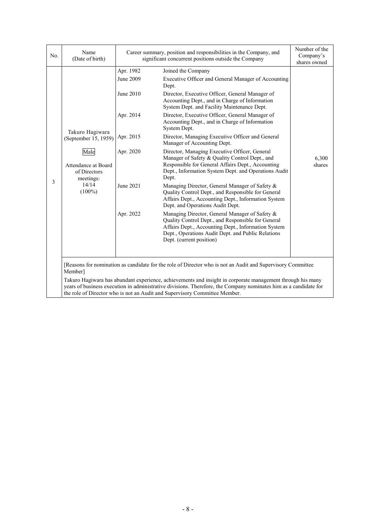| No. | Name<br>(Date of birth)                                                                                                   |                                                                                                      | Career summary, position and responsibilities in the Company, and<br>significant concurrent positions outside the Company                                                                                                                                                                                                                                                                                                                                                                                                                                                                                                                                                                                                                                                                                                                                                                                                                                                                                                                                                                                                   |                                 |  |  |  |
|-----|---------------------------------------------------------------------------------------------------------------------------|------------------------------------------------------------------------------------------------------|-----------------------------------------------------------------------------------------------------------------------------------------------------------------------------------------------------------------------------------------------------------------------------------------------------------------------------------------------------------------------------------------------------------------------------------------------------------------------------------------------------------------------------------------------------------------------------------------------------------------------------------------------------------------------------------------------------------------------------------------------------------------------------------------------------------------------------------------------------------------------------------------------------------------------------------------------------------------------------------------------------------------------------------------------------------------------------------------------------------------------------|---------------------------------|--|--|--|
| 3   | Takuro Hagiwara<br>(September 15, 1959)<br>Male<br>Attendance at Board<br>of Directors<br>meetings:<br>14/14<br>$(100\%)$ | Apr. 1982<br>June 2009<br>June 2010<br>Apr. 2014<br>Apr. 2015<br>Apr. 2020<br>June 2021<br>Apr. 2022 | Joined the Company<br>Executive Officer and General Manager of Accounting<br>Dept.<br>Director, Executive Officer, General Manager of<br>Accounting Dept., and in Charge of Information<br>System Dept. and Facility Maintenance Dept.<br>Director, Executive Officer, General Manager of<br>Accounting Dept., and in Charge of Information<br>System Dept.<br>Director, Managing Executive Officer and General<br>Manager of Accounting Dept.<br>Director, Managing Executive Officer, General<br>Manager of Safety & Quality Control Dept., and<br>Responsible for General Affairs Dept., Accounting<br>Dept., Information System Dept. and Operations Audit<br>Dept.<br>Managing Director, General Manager of Safety &<br>Quality Control Dept., and Responsible for General<br>Affairs Dept., Accounting Dept., Information System<br>Dept. and Operations Audit Dept.<br>Managing Director, General Manager of Safety &<br>Quality Control Dept., and Responsible for General<br>Affairs Dept., Accounting Dept., Information System<br>Dept., Operations Audit Dept. and Public Relations<br>Dept. (current position) | shares owned<br>6,300<br>shares |  |  |  |
|     | Member]                                                                                                                   |                                                                                                      | [Reasons for nomination as candidate for the role of Director who is not an Audit and Supervisory Committee<br>Takuro Hagiwara has abundant experience, achievements and insight in corporate management through his many<br>years of business execution in administrative divisions. Therefore, the Company nominates him as a candidate for                                                                                                                                                                                                                                                                                                                                                                                                                                                                                                                                                                                                                                                                                                                                                                               |                                 |  |  |  |

the role of Director who is not an Audit and Supervisory Committee Member.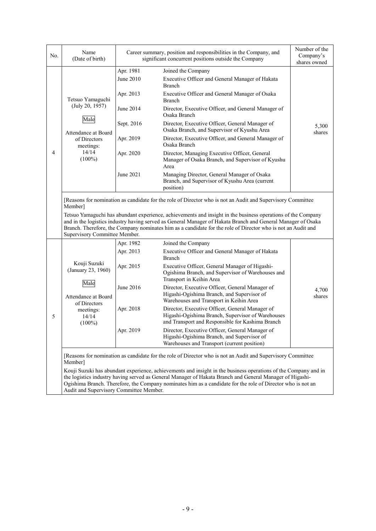| No. | Name<br>(Date of birth)                                                                                                                                                                                                                                                                                                                                                               |            | Career summary, position and responsibilities in the Company, and<br>significant concurrent positions outside the Company                                                                                                    | Number of the<br>Company's<br>shares owned |  |  |  |
|-----|---------------------------------------------------------------------------------------------------------------------------------------------------------------------------------------------------------------------------------------------------------------------------------------------------------------------------------------------------------------------------------------|------------|------------------------------------------------------------------------------------------------------------------------------------------------------------------------------------------------------------------------------|--------------------------------------------|--|--|--|
|     |                                                                                                                                                                                                                                                                                                                                                                                       | Apr. 1981  | Joined the Company                                                                                                                                                                                                           |                                            |  |  |  |
|     | Tetsuo Yamaguchi<br>(July 20, 1957)                                                                                                                                                                                                                                                                                                                                                   | June 2010  | Executive Officer and General Manager of Hakata<br>Branch                                                                                                                                                                    |                                            |  |  |  |
|     |                                                                                                                                                                                                                                                                                                                                                                                       | Apr. 2013  | Executive Officer and General Manager of Osaka<br>Branch                                                                                                                                                                     |                                            |  |  |  |
|     |                                                                                                                                                                                                                                                                                                                                                                                       | June 2014  | Director, Executive Officer, and General Manager of<br>Osaka Branch                                                                                                                                                          |                                            |  |  |  |
|     | Male<br>Attendance at Board                                                                                                                                                                                                                                                                                                                                                           | Sept. 2016 | Director, Executive Officer, General Manager of<br>Osaka Branch, and Supervisor of Kyushu Area                                                                                                                               | 5,300<br>shares                            |  |  |  |
|     | of Directors<br>meetings:                                                                                                                                                                                                                                                                                                                                                             | Apr. 2019  | Director, Executive Officer, and General Manager of<br>Osaka Branch                                                                                                                                                          |                                            |  |  |  |
| 4   | 14/14<br>$(100\%)$                                                                                                                                                                                                                                                                                                                                                                    | Apr. 2020  | Director, Managing Executive Officer, General<br>Manager of Osaka Branch, and Supervisor of Kyushu<br>Area                                                                                                                   |                                            |  |  |  |
|     |                                                                                                                                                                                                                                                                                                                                                                                       | June 2021  | Managing Director, General Manager of Osaka<br>Branch, and Supervisor of Kyushu Area (current<br>position)                                                                                                                   |                                            |  |  |  |
|     | Supervisory Committee Member.                                                                                                                                                                                                                                                                                                                                                         |            | and in the logistics industry having served as General Manager of Hakata Branch and General Manager of Osaka<br>Branch. Therefore, the Company nominates him as a candidate for the role of Director who is not an Audit and |                                            |  |  |  |
|     |                                                                                                                                                                                                                                                                                                                                                                                       | Apr. 1982  | Joined the Company                                                                                                                                                                                                           |                                            |  |  |  |
|     | Kouji Suzuki<br>(January 23, 1960)<br>Male<br>Attendance at Board<br>of Directors<br>meetings:<br>14/14<br>$(100\%)$                                                                                                                                                                                                                                                                  | Apr. 2013  | Executive Officer and General Manager of Hakata<br><b>Branch</b>                                                                                                                                                             |                                            |  |  |  |
|     |                                                                                                                                                                                                                                                                                                                                                                                       | Apr. 2015  | Executive Officer, General Manager of Higashi-<br>Ogishima Branch, and Supervisor of Warehouses and<br>Transport in Keihin Area                                                                                              |                                            |  |  |  |
|     |                                                                                                                                                                                                                                                                                                                                                                                       | June 2016  | Director, Executive Officer, General Manager of<br>Higashi-Ogishima Branch, and Supervisor of<br>Warehouses and Transport in Keihin Area                                                                                     | 4,700<br>shares                            |  |  |  |
| 5   |                                                                                                                                                                                                                                                                                                                                                                                       | Apr. 2018  | Director, Executive Officer, General Manager of<br>Higashi-Ogishima Branch, Supervisor of Warehouses<br>and Transport and Responsible for Kashima Branch                                                                     |                                            |  |  |  |
|     |                                                                                                                                                                                                                                                                                                                                                                                       | Apr. 2019  | Director, Executive Officer, General Manager of<br>Higashi-Ogishima Branch, and Supervisor of<br>Warehouses and Transport (current position)                                                                                 |                                            |  |  |  |
|     | Member]                                                                                                                                                                                                                                                                                                                                                                               |            | [Reasons for nomination as candidate for the role of Director who is not an Audit and Supervisory Committee                                                                                                                  |                                            |  |  |  |
|     | Kouji Suzuki has abundant experience, achievements and insight in the business operations of the Company and in<br>the logistics industry having served as General Manager of Hakata Branch and General Manager of Higashi-<br>Ogishima Branch. Therefore, the Company nominates him as a candidate for the role of Director who is not an<br>Audit and Supervisory Committee Member. |            |                                                                                                                                                                                                                              |                                            |  |  |  |

Audit and Supervisory Committee Member.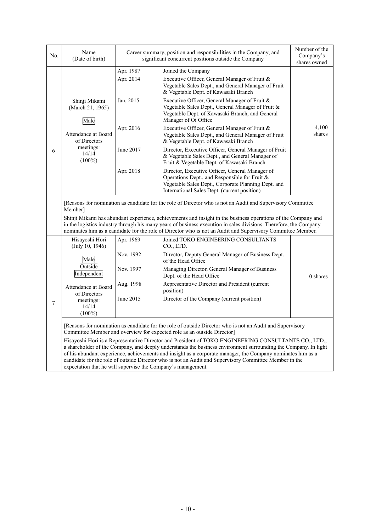| No.            | Name<br>(Date of birth)                                                                                                                                                                                                                                                                                                                                                                                                                                                                                          |                                                                                                                                                                                              | Career summary, position and responsibilities in the Company, and<br>significant concurrent positions outside the Company                                                                                                                                                                                                                         | Number of the<br>Company's<br>shares owned |  |  |  |
|----------------|------------------------------------------------------------------------------------------------------------------------------------------------------------------------------------------------------------------------------------------------------------------------------------------------------------------------------------------------------------------------------------------------------------------------------------------------------------------------------------------------------------------|----------------------------------------------------------------------------------------------------------------------------------------------------------------------------------------------|---------------------------------------------------------------------------------------------------------------------------------------------------------------------------------------------------------------------------------------------------------------------------------------------------------------------------------------------------|--------------------------------------------|--|--|--|
|                |                                                                                                                                                                                                                                                                                                                                                                                                                                                                                                                  | Apr. 1987<br>Joined the Company<br>Executive Officer, General Manager of Fruit &<br>Apr. 2014<br>Vegetable Sales Dept., and General Manager of Fruit<br>& Vegetable Dept. of Kawasaki Branch |                                                                                                                                                                                                                                                                                                                                                   |                                            |  |  |  |
|                | Shinji Mikami<br>(March 21, 1965)<br>Male                                                                                                                                                                                                                                                                                                                                                                                                                                                                        | Jan. 2015                                                                                                                                                                                    | Executive Officer, General Manager of Fruit &<br>Vegetable Sales Dept., General Manager of Fruit &<br>Vegetable Dept. of Kawasaki Branch, and General<br>Manager of Oi Office                                                                                                                                                                     |                                            |  |  |  |
|                | Attendance at Board<br>of Directors                                                                                                                                                                                                                                                                                                                                                                                                                                                                              | Apr. 2016                                                                                                                                                                                    | Executive Officer, General Manager of Fruit &<br>Vegetable Sales Dept., and General Manager of Fruit<br>& Vegetable Dept. of Kawasaki Branch                                                                                                                                                                                                      | 4,100<br>shares                            |  |  |  |
| 6              | meetings:<br>14/14<br>$(100\%)$                                                                                                                                                                                                                                                                                                                                                                                                                                                                                  | June 2017                                                                                                                                                                                    | Director, Executive Officer, General Manager of Fruit<br>& Vegetable Sales Dept., and General Manager of<br>Fruit & Vegetable Dept. of Kawasaki Branch                                                                                                                                                                                            |                                            |  |  |  |
|                |                                                                                                                                                                                                                                                                                                                                                                                                                                                                                                                  | Apr. 2018                                                                                                                                                                                    | Director, Executive Officer, General Manager of<br>Operations Dept., and Responsible for Fruit &<br>Vegetable Sales Dept., Corporate Planning Dept. and<br>International Sales Dept. (current position)                                                                                                                                           |                                            |  |  |  |
|                | [Reasons for nomination as candidate for the role of Director who is not an Audit and Supervisory Committee<br>Member]                                                                                                                                                                                                                                                                                                                                                                                           |                                                                                                                                                                                              |                                                                                                                                                                                                                                                                                                                                                   |                                            |  |  |  |
|                |                                                                                                                                                                                                                                                                                                                                                                                                                                                                                                                  |                                                                                                                                                                                              | Shinji Mikami has abundant experience, achievements and insight in the business operations of the Company and<br>in the logistics industry through his many years of business execution in sales divisions. Therefore, the Company<br>nominates him as a candidate for the role of Director who is not an Audit and Supervisory Committee Member. |                                            |  |  |  |
|                | Hisayoshi Hori<br>(July 10, 1946)                                                                                                                                                                                                                                                                                                                                                                                                                                                                                | Apr. 1969                                                                                                                                                                                    | Joined TOKO ENGINEERING CONSULTANTS<br>CO., LTD.                                                                                                                                                                                                                                                                                                  |                                            |  |  |  |
|                | Male                                                                                                                                                                                                                                                                                                                                                                                                                                                                                                             | Nov. 1992                                                                                                                                                                                    | Director, Deputy General Manager of Business Dept.<br>of the Head Office                                                                                                                                                                                                                                                                          |                                            |  |  |  |
|                | Outside<br>Independent                                                                                                                                                                                                                                                                                                                                                                                                                                                                                           | Nov. 1997                                                                                                                                                                                    | Managing Director, General Manager of Business<br>Dept. of the Head Office                                                                                                                                                                                                                                                                        | 0 shares                                   |  |  |  |
|                | Attendance at Board<br>of Directors                                                                                                                                                                                                                                                                                                                                                                                                                                                                              | Aug. 1998                                                                                                                                                                                    | Representative Director and President (current<br>position)                                                                                                                                                                                                                                                                                       |                                            |  |  |  |
| $\overline{7}$ | meetings:<br>14/14<br>$(100\%)$                                                                                                                                                                                                                                                                                                                                                                                                                                                                                  | June 2015                                                                                                                                                                                    | Director of the Company (current position)                                                                                                                                                                                                                                                                                                        |                                            |  |  |  |
|                | [Reasons for nomination as candidate for the role of outside Director who is not an Audit and Supervisory<br>Committee Member and overview for expected role as an outside Director]                                                                                                                                                                                                                                                                                                                             |                                                                                                                                                                                              |                                                                                                                                                                                                                                                                                                                                                   |                                            |  |  |  |
|                | Hisayoshi Hori is a Representative Director and President of TOKO ENGINEERING CONSULTANTS CO., LTD.,<br>a shareholder of the Company, and deeply understands the business environment surrounding the Company. In light<br>of his abundant experience, achievements and insight as a corporate manager, the Company nominates him as a<br>candidate for the role of outside Director who is not an Audit and Supervisory Committee Member in the<br>expectation that he will supervise the Company's management. |                                                                                                                                                                                              |                                                                                                                                                                                                                                                                                                                                                   |                                            |  |  |  |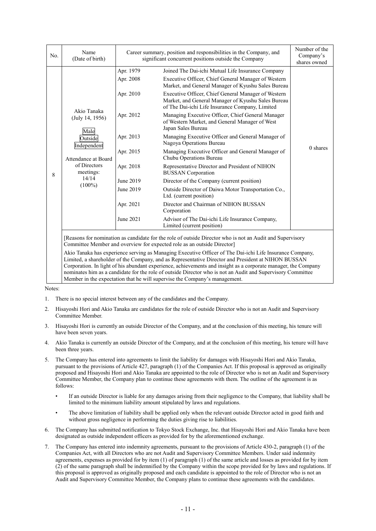| No. | Name<br>(Date of birth)                                                                                                                    | Career summary, position and responsibilities in the Company, and                                                              | Number of the<br>Company's<br>shares owned                                                                                                                                                                                                                                                                                                                                                                                                                                                                                                                                                                                                                                                                                                                                                                                                                                                                                                   |          |
|-----|--------------------------------------------------------------------------------------------------------------------------------------------|--------------------------------------------------------------------------------------------------------------------------------|----------------------------------------------------------------------------------------------------------------------------------------------------------------------------------------------------------------------------------------------------------------------------------------------------------------------------------------------------------------------------------------------------------------------------------------------------------------------------------------------------------------------------------------------------------------------------------------------------------------------------------------------------------------------------------------------------------------------------------------------------------------------------------------------------------------------------------------------------------------------------------------------------------------------------------------------|----------|
| 8   | Akio Tanaka<br>(July 14, 1956)<br>Male<br>Outside<br>Independent<br>Attendance at Board<br>of Directors<br>meetings:<br>14/14<br>$(100\%)$ | Apr. 1979<br>Apr. 2008<br>Apr. 2010<br>Apr. 2012<br>Apr. 2013<br>Apr. 2015<br>Apr. 2018<br>June 2019<br>June 2019<br>Apr. 2021 | significant concurrent positions outside the Company<br>Joined The Dai-ichi Mutual Life Insurance Company<br>Executive Officer, Chief General Manager of Western<br>Market, and General Manager of Kyushu Sales Bureau<br>Executive Officer, Chief General Manager of Western<br>Market, and General Manager of Kyushu Sales Bureau<br>of The Dai-ichi Life Insurance Company, Limited<br>Managing Executive Officer, Chief General Manager<br>of Western Market, and General Manager of West<br>Japan Sales Bureau<br>Managing Executive Officer and General Manager of<br>Nagoya Operations Bureau<br>Managing Executive Officer and General Manager of<br>Chubu Operations Bureau<br>Representative Director and President of NIHON<br><b>BUSSAN</b> Corporation<br>Director of the Company (current position)<br>Outside Director of Daiwa Motor Transportation Co.,<br>Ltd. (current position)<br>Director and Chairman of NIHON BUSSAN | 0 shares |
|     |                                                                                                                                            | June 2021                                                                                                                      | Corporation<br>Advisor of The Dai-ichi Life Insurance Company,<br>Limited (current position)                                                                                                                                                                                                                                                                                                                                                                                                                                                                                                                                                                                                                                                                                                                                                                                                                                                 |          |
|     |                                                                                                                                            |                                                                                                                                | Reasons for nomination as candidate for the role of outside Director who is not an Audit and Supervisory<br>Committee Member and overview for expected role as an outside Director]<br>Akio Tanaka has experience serving as Managing Executive Officer of The Dai-ichi Life Insurance Company,<br>Limited, a shareholder of the Company, and as Representative Director and President at NIHON BUSSAN                                                                                                                                                                                                                                                                                                                                                                                                                                                                                                                                       |          |

Corporation. In light of his abundant experience, achievements and insight as a corporate manager, the Company nominates him as a candidate for the role of outside Director who is not an Audit and Supervisory Committee Member in the expectation that he will supervise the Company's management.

Notes:

- 1. There is no special interest between any of the candidates and the Company.
- 2. Hisayoshi Hori and Akio Tanaka are candidates for the role of outside Director who is not an Audit and Supervisory Committee Member.
- 3. Hisayoshi Hori is currently an outside Director of the Company, and at the conclusion of this meeting, his tenure will have been seven years.
- 4. Akio Tanaka is currently an outside Director of the Company, and at the conclusion of this meeting, his tenure will have been three years.
- 5. The Company has entered into agreements to limit the liability for damages with Hisayoshi Hori and Akio Tanaka, pursuant to the provisions of Article 427, paragraph (1) of the Companies Act. If this proposal is approved as originally proposed and Hisayoshi Hori and Akio Tanaka are appointed to the role of Director who is not an Audit and Supervisory Committee Member, the Company plan to continue these agreements with them. The outline of the agreement is as follows:
	- If an outside Director is liable for any damages arising from their negligence to the Company, that liability shall be limited to the minimum liability amount stipulated by laws and regulations.
	- The above limitation of liability shall be applied only when the relevant outside Director acted in good faith and without gross negligence in performing the duties giving rise to liabilities.
- 6. The Company has submitted notification to Tokyo Stock Exchange, Inc. that Hisayoshi Hori and Akio Tanaka have been designated as outside independent officers as provided for by the aforementioned exchange.
- 7. The Company has entered into indemnity agreements, pursuant to the provisions of Article 430-2, paragraph (1) of the Companies Act, with all Directors who are not Audit and Supervisory Committee Members. Under said indemnity agreements, expenses as provided for by item (1) of paragraph (1) of the same article and losses as provided for by item (2) of the same paragraph shall be indemnified by the Company within the scope provided for by laws and regulations. If this proposal is approved as originally proposed and each candidate is appointed to the role of Director who is not an Audit and Supervisory Committee Member, the Company plans to continue these agreements with the candidates.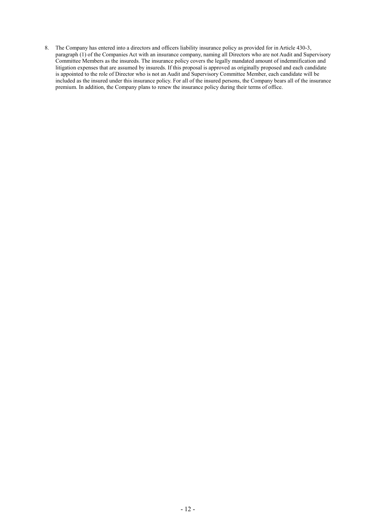8. The Company has entered into a directors and officers liability insurance policy as provided for in Article 430-3, paragraph (1) of the Companies Act with an insurance company, naming all Directors who are not Audit and Supervisory Committee Members as the insureds. The insurance policy covers the legally mandated amount of indemnification and litigation expenses that are assumed by insureds. If this proposal is approved as originally proposed and each candidate is appointed to the role of Director who is not an Audit and Supervisory Committee Member, each candidate will be included as the insured under this insurance policy. For all of the insured persons, the Company bears all of the insurance premium. In addition, the Company plans to renew the insurance policy during their terms of office.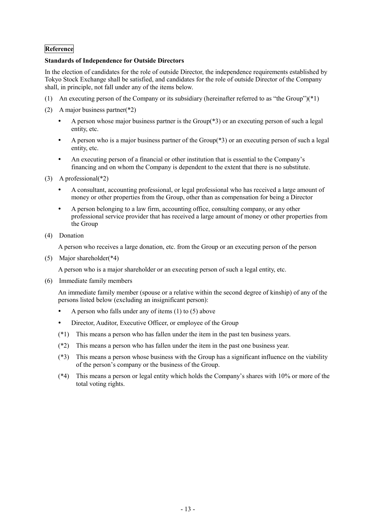# **Reference**

## **Standards of Independence for Outside Directors**

In the election of candidates for the role of outside Director, the independence requirements established by Tokyo Stock Exchange shall be satisfied, and candidates for the role of outside Director of the Company shall, in principle, not fall under any of the items below.

- (1) An executing person of the Company or its subsidiary (hereinafter referred to as "the Group")(\*1)
- (2) A major business partner(\*2)
	- A person whose major business partner is the Group(\*3) or an executing person of such a legal entity, etc.
	- A person who is a major business partner of the Group(\*3) or an executing person of such a legal entity, etc.
	- An executing person of a financial or other institution that is essential to the Company's financing and on whom the Company is dependent to the extent that there is no substitute.
- (3) A professional(\*2)
	- A consultant, accounting professional, or legal professional who has received a large amount of money or other properties from the Group, other than as compensation for being a Director
	- A person belonging to a law firm, accounting office, consulting company, or any other professional service provider that has received a large amount of money or other properties from the Group
- (4) Donation

A person who receives a large donation, etc. from the Group or an executing person of the person

(5) Major shareholder(\*4)

A person who is a major shareholder or an executing person of such a legal entity, etc.

(6) Immediate family members

An immediate family member (spouse or a relative within the second degree of kinship) of any of the persons listed below (excluding an insignificant person):

- A person who falls under any of items (1) to (5) above
- Director, Auditor, Executive Officer, or employee of the Group
- (\*1) This means a person who has fallen under the item in the past ten business years.
- (\*2) This means a person who has fallen under the item in the past one business year.
- (\*3) This means a person whose business with the Group has a significant influence on the viability of the person's company or the business of the Group.
- (\*4) This means a person or legal entity which holds the Company's shares with 10% or more of the total voting rights.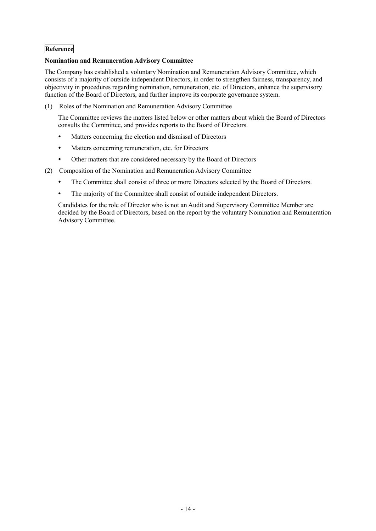# **Reference**

## **Nomination and Remuneration Advisory Committee**

The Company has established a voluntary Nomination and Remuneration Advisory Committee, which consists of a majority of outside independent Directors, in order to strengthen fairness, transparency, and objectivity in procedures regarding nomination, remuneration, etc. of Directors, enhance the supervisory function of the Board of Directors, and further improve its corporate governance system.

(1) Roles of the Nomination and Remuneration Advisory Committee

The Committee reviews the matters listed below or other matters about which the Board of Directors consults the Committee, and provides reports to the Board of Directors.

- Matters concerning the election and dismissal of Directors
- Matters concerning remuneration, etc. for Directors
- Other matters that are considered necessary by the Board of Directors
- (2) Composition of the Nomination and Remuneration Advisory Committee
	- The Committee shall consist of three or more Directors selected by the Board of Directors.
	- The majority of the Committee shall consist of outside independent Directors.

Candidates for the role of Director who is not an Audit and Supervisory Committee Member are decided by the Board of Directors, based on the report by the voluntary Nomination and Remuneration Advisory Committee.